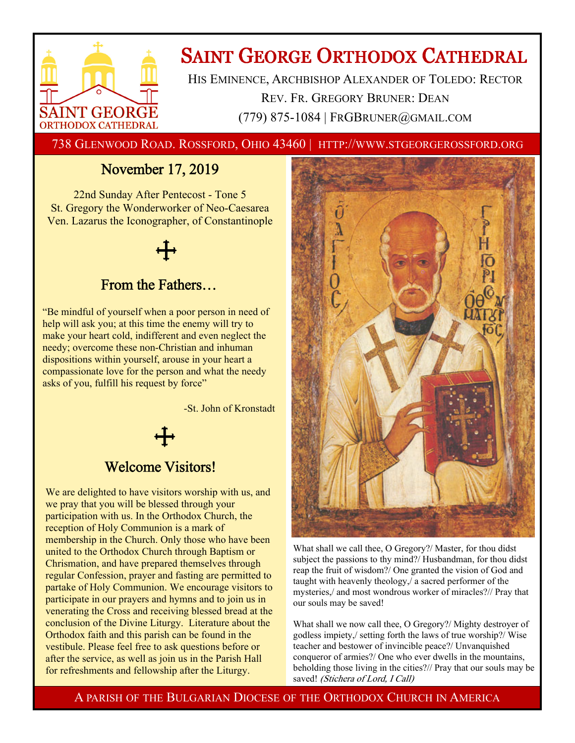

# **SAINT GEORGE ORTHODOX CATHEDRAL**

HIS EMINENCE, ARCHBISHOP ALEXANDER OF TOLEDO: RECTOR REV. FR. GREGORY BRUNER: DEAN (779) 875-1084 | FRGBRUNER@GMAIL.COM

738 GLENWOOD ROAD. ROSSFORD, OHIO 43460 | HTTP://WWW.STGEORGEROSSFORD.ORG

## November 17, 2019

22nd Sunday After Pentecost - Tone 5 St. Gregory the Wonderworker of Neo-Caesarea Ven. Lazarus the Iconographer, of Constantinople



## From the Fathers…

"Be mindful of yourself when a poor person in need of help will ask you; at this time the enemy will try to make your heart cold, indifferent and even neglect the needy; overcome these non-Christian and inhuman dispositions within yourself, arouse in your heart a compassionate love for the person and what the needy asks of you, fulfill his request by force"

-St. John of Kronstadt

## Welcome Visitors!

We are delighted to have visitors worship with us, and we pray that you will be blessed through your participation with us. In the Orthodox Church, the reception of Holy Communion is a mark of membership in the Church. Only those who have been united to the Orthodox Church through Baptism or Chrismation, and have prepared themselves through regular Confession, prayer and fasting are permitted to partake of Holy Communion. We encourage visitors to participate in our prayers and hymns and to join us in venerating the Cross and receiving blessed bread at the conclusion of the Divine Liturgy. Literature about the Orthodox faith and this parish can be found in the vestibule. Please feel free to ask questions before or after the service, as well as join us in the Parish Hall for refreshments and fellowship after the Liturgy.



What shall we call thee, O Gregory?/ Master, for thou didst subject the passions to thy mind?/ Husbandman, for thou didst reap the fruit of wisdom?/ One granted the vision of God and taught with heavenly theology,/ a sacred performer of the mysteries,/ and most wondrous worker of miracles?// Pray that our souls may be saved!

What shall we now call thee, O Gregory?/ Mighty destroyer of godless impiety,/ setting forth the laws of true worship?/ Wise teacher and bestower of invincible peace?/ Unvanquished conqueror of armies?/ One who ever dwells in the mountains, beholding those living in the cities?// Pray that our souls may be saved! (Stichera of Lord, I Call)

A PARISH OF THE BULGARIAN DIOCESE OF THE ORTHODOX CHURCH IN AMERICA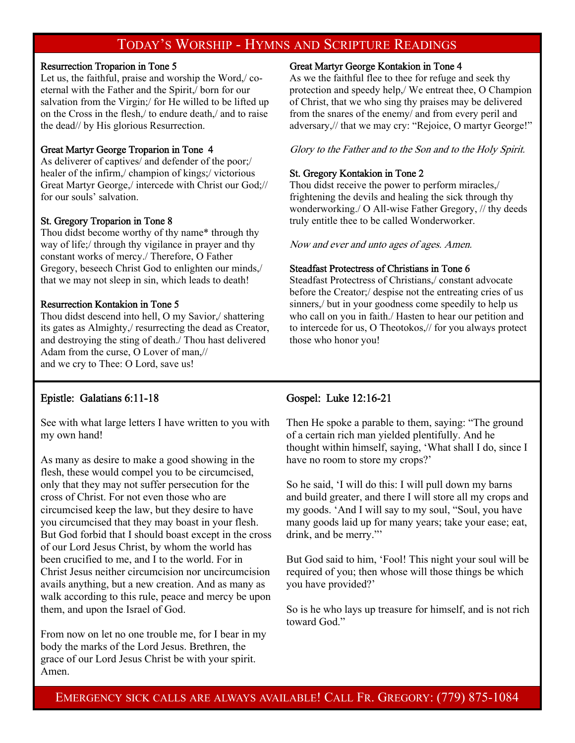## TODAY'S WORSHIP - HYMNS AND SCRIPTURE READINGS

#### Resurrection Troparion in Tone 5

Let us, the faithful, praise and worship the Word,/ coeternal with the Father and the Spirit,/ born for our salvation from the Virgin;/ for He willed to be lifted up on the Cross in the flesh,/ to endure death,/ and to raise the dead// by His glorious Resurrection.

#### Great Martyr George Troparion in Tone 4

As deliverer of captives/ and defender of the poor;/ healer of the infirm,/ champion of kings;/ victorious Great Martyr George,/ intercede with Christ our God;// for our souls' salvation.

#### St. Gregory Troparion in Tone 8

Thou didst become worthy of thy name\* through thy way of life;/ through thy vigilance in prayer and thy constant works of mercy./ Therefore, O Father Gregory, beseech Christ God to enlighten our minds,/ that we may not sleep in sin, which leads to death!

#### Resurrection Kontakion in Tone 5

Thou didst descend into hell, O my Savior,/ shattering its gates as Almighty,/ resurrecting the dead as Creator, and destroying the sting of death./ Thou hast delivered Adam from the curse, O Lover of man,// and we cry to Thee: O Lord, save us!

#### Great Martyr George Kontakion in Tone 4

As we the faithful flee to thee for refuge and seek thy protection and speedy help,/ We entreat thee, O Champion of Christ, that we who sing thy praises may be delivered from the snares of the enemy/ and from every peril and adversary,// that we may cry: "Rejoice, O martyr George!"

Glory to the Father and to the Son and to the Holy Spirit.

#### St. Gregory Kontakion in Tone 2

Thou didst receive the power to perform miracles,/ frightening the devils and healing the sick through thy wonderworking./ O All-wise Father Gregory, // thy deeds truly entitle thee to be called Wonderworker.

Now and ever and unto ages of ages. Amen.

#### Steadfast Protectress of Christians in Tone 6

Steadfast Protectress of Christians,/ constant advocate before the Creator;/ despise not the entreating cries of us sinners,/ but in your goodness come speedily to help us who call on you in faith./ Hasten to hear our petition and to intercede for us, O Theotokos,// for you always protect those who honor you!

#### Epistle: Galatians 6:11-18

See with what large letters I have written to you with my own hand!

As many as desire to make a good showing in the flesh, these would compel you to be circumcised, only that they may not suffer persecution for the cross of Christ. For not even those who are circumcised keep the law, but they desire to have you circumcised that they may boast in your flesh. But God forbid that I should boast except in the cross of our Lord Jesus Christ, by whom the world has been crucified to me, and I to the world. For in Christ Jesus neither circumcision nor uncircumcision avails anything, but a new creation. And as many as walk according to this rule, peace and mercy be upon them, and upon the Israel of God.

From now on let no one trouble me, for I bear in my body the marks of the Lord Jesus. Brethren, the grace of our Lord Jesus Christ be with your spirit. Amen.

#### Gospel: Luke 12:16-21

Then He spoke a parable to them, saying: "The ground of a certain rich man yielded plentifully. And he thought within himself, saying, 'What shall I do, since I have no room to store my crops?'

So he said, 'I will do this: I will pull down my barns and build greater, and there I will store all my crops and my goods. 'And I will say to my soul, "Soul, you have many goods laid up for many years; take your ease; eat, drink, and be merry."'

But God said to him, 'Fool! This night your soul will be required of you; then whose will those things be which you have provided?'

So is he who lays up treasure for himself, and is not rich toward God."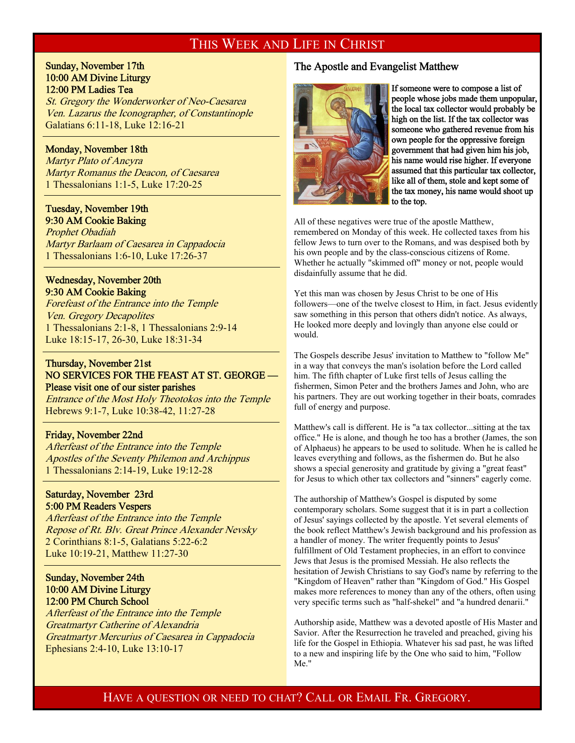#### THIS WEEK AND LIFE IN CHRIST

#### Sunday, November 17th 10:00 AM Divine Liturgy 12:00 PM Ladies Tea

St. Gregory the Wonderworker of Neo-Caesarea Ven. Lazarus the Iconographer, of Constantinople Galatians 6:11-18, Luke 12:16-21

#### Monday, November 18th

 $\overline{a}$ 

 $\overline{a}$ 

 $\overline{a}$ 

 $\overline{a}$ 

 $\overline{a}$ 

Martyr Plato of Ancyra Martyr Romanus the Deacon, of Caesarea 1 Thessalonians 1:1-5, Luke 17:20-25

#### Tuesday, November 19th 9:30 AM Cookie Baking

Prophet Obadiah Martyr Barlaam of Caesarea in Cappadocia 1 Thessalonians 1:6-10, Luke 17:26-37

#### Wednesday, November 20th 9:30 AM Cookie Baking

Forefeast of the Entrance into the Temple Ven. Gregory Decapolites 1 Thessalonians 2:1-8, 1 Thessalonians 2:9-14 Luke 18:15-17, 26-30, Luke 18:31-34

#### Thursday, November 21st NO SERVICES FOR THE FEAST AT ST. GEORGE — Please visit one of our sister parishes

Entrance of the Most Holy Theotokos into the Temple Hebrews 9:1-7, Luke 10:38-42, 11:27-28

#### Friday, November 22nd

Afterfeast of the Entrance into the Temple Apostles of the Seventy Philemon and Archippus 1 Thessalonians 2:14-19, Luke 19:12-28

#### Saturday, November 23rd 5:00 PM Readers Vespers

Afterfeast of the Entrance into the Temple Repose of Rt. Blv. Great Prince Alexander Nevsky 2 Corinthians 8:1-5, Galatians 5:22-6:2 Luke 10:19-21, Matthew 11:27-30

#### Sunday, November 24th 10:00 AM Divine Liturgy 12:00 PM Church School

Afterfeast of the Entrance into the Temple Greatmartyr Catherine of Alexandria Greatmartyr Mercurius of Caesarea in Cappadocia Ephesians 2:4-10, Luke 13:10-17

#### The Apostle and Evangelist Matthew



If someone were to compose a list of people whose jobs made them unpopular, the local tax collector would probably be high on the list. If the tax collector was someone who gathered revenue from his own people for the oppressive foreign government that had given him his job, his name would rise higher. If everyone assumed that this particular tax collector, like all of them, stole and kept some of the tax money, his name would shoot up to the top.

All of these negatives were true of the apostle Matthew, remembered on Monday of this week. He collected taxes from his fellow Jews to turn over to the Romans, and was despised both by his own people and by the class-conscious citizens of Rome. Whether he actually "skimmed off" money or not, people would disdainfully assume that he did.

Yet this man was chosen by Jesus Christ to be one of His followers—one of the twelve closest to Him, in fact. Jesus evidently saw something in this person that others didn't notice. As always, He looked more deeply and lovingly than anyone else could or would.

The Gospels describe Jesus' invitation to Matthew to "follow Me" in a way that conveys the man's isolation before the Lord called him. The fifth chapter of Luke first tells of Jesus calling the fishermen, Simon Peter and the brothers James and John, who are his partners. They are out working together in their boats, comrades full of energy and purpose.

Matthew's call is different. He is "a tax collector...sitting at the tax office." He is alone, and though he too has a brother (James, the son of Alphaeus) he appears to be used to solitude. When he is called he leaves everything and follows, as the fishermen do. But he also shows a special generosity and gratitude by giving a "great feast" for Jesus to which other tax collectors and "sinners" eagerly come.

The authorship of Matthew's Gospel is disputed by some contemporary scholars. Some suggest that it is in part a collection of Jesus' sayings collected by the apostle. Yet several elements of the book reflect Matthew's Jewish background and his profession as a handler of money. The writer frequently points to Jesus' fulfillment of Old Testament prophecies, in an effort to convince Jews that Jesus is the promised Messiah. He also reflects the hesitation of Jewish Christians to say God's name by referring to the "Kingdom of Heaven" rather than "Kingdom of God." His Gospel makes more references to money than any of the others, often using very specific terms such as "half-shekel" and "a hundred denarii."

Authorship aside, Matthew was a devoted apostle of His Master and Savior. After the Resurrection he traveled and preached, giving his life for the Gospel in Ethiopia. Whatever his sad past, he was lifted to a new and inspiring life by the One who said to him, "Follow Me."

### HAVE A QUESTION OR NEED TO CHAT? CALL OR EMAIL FR. GREGORY.